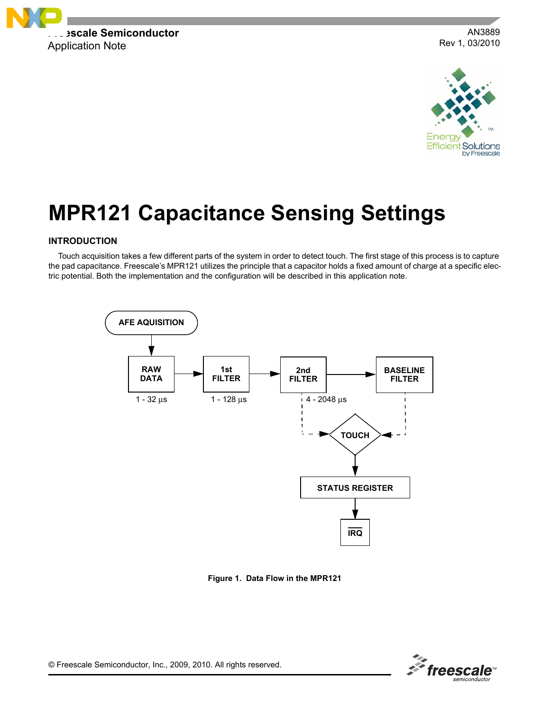

AN3889 Rev 1, 03/2010



# **MPR121 Capacitance Sensing Settings**

# **INTRODUCTION**

Touch acquisition takes a few different parts of the system in order to detect touch. The first stage of this process is to capture the pad capacitance. Freescale's MPR121 utilizes the principle that a capacitor holds a fixed amount of charge at a specific electric potential. Both the implementation and the configuration will be described in this application note.



**Figure 1. Data Flow in the MPR121**

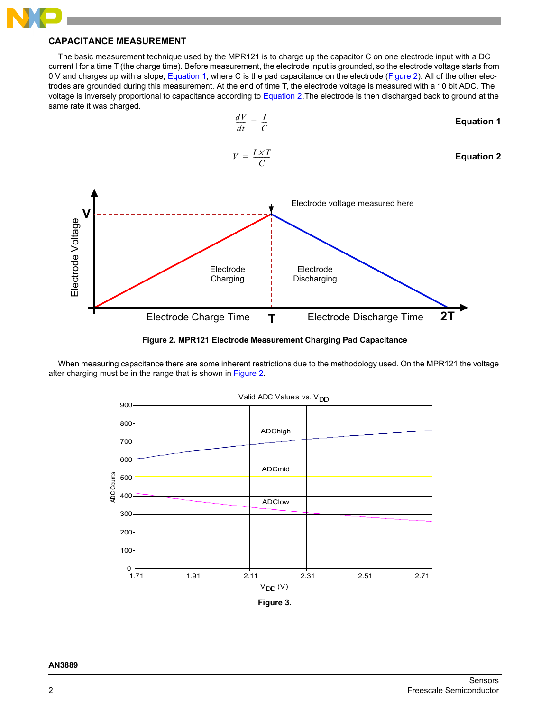# **CAPACITANCE MEASUREMENT**

The basic measurement technique used by the MPR121 is to charge up the capacitor C on one electrode input with a DC current I for a time T (the charge time). Before measurement, the electrode input is grounded, so the electrode voltage starts from 0 V and charges up with a slope, Equation 1, where C is the pad capacitance on the electrode [\(Figure](#page-1-0) 2). All of the other electrodes are grounded during this measurement. At the end of time T, the electrode voltage is measured with a 10 bit ADC. The voltage is inversely proportional to capacitance according to Equation 2.The electrode is then discharged back to ground at the same rate it was charged.



**Figure 2. MPR121 Electrode Measurement Charging Pad Capacitance**

<span id="page-1-0"></span>When measuring capacitance there are some inherent restrictions due to the methodology used. On the MPR121 the voltage after charging must be in the range that is shown in Figure 2.



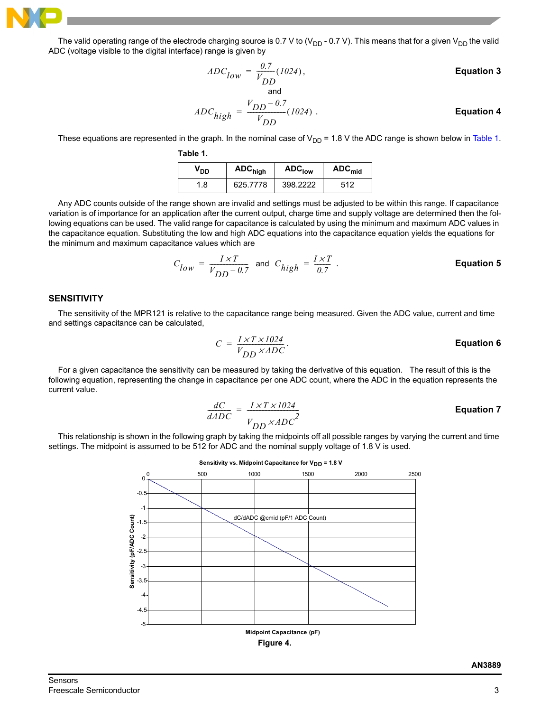

The valid operating range of the electrode charging source is 0.7 V to (V<sub>DD</sub> - 0.7 V). This means that for a given V<sub>DD</sub> the valid ADC (voltage visible to the digital interface) range is given by

$$
ADC_{low} = \frac{0.7}{V_{DD}}(1024),
$$
  
and  

$$
ADC_{high} = \frac{V_{DD} - 0.7}{V_{DD}}(1024).
$$
Equation 4

These equations are represented in the graph. In the nominal case of  $V_{DD}$  = 1.8 V the ADC range is shown below in Table 1.

**Table 1.** 

| V <sub>DD</sub> | ADC <sub>high</sub> | <b>ADC<sub>low</sub></b> | $ADC_{mid}$ |
|-----------------|---------------------|--------------------------|-------------|
| l.8             | 625.7778            | 398.2222                 | 512         |

Any ADC counts outside of the range shown are invalid and settings must be adjusted to be within this range. If capacitance variation is of importance for an application after the current output, charge time and supply voltage are determined then the following equations can be used. The valid range for capacitance is calculated by using the minimum and maximum ADC values in the capacitance equation. Substituting the low and high ADC equations into the capacitance equation yields the equations for the minimum and maximum capacitance values which are

$$
C_{low} = \frac{I \times T}{V_{DD} - 0.7}
$$
 and  $C_{high} = \frac{I \times T}{0.7}$ .  
Equation 5

### **SENSITIVITY**

The sensitivity of the MPR121 is relative to the capacitance range being measured. Given the ADC value, current and time and settings capacitance can be calculated,

$$
C = \frac{I \times T \times 1024}{V_{DD} \times ADC}.
$$
 Equation 6

For a given capacitance the sensitivity can be measured by taking the derivative of this equation. The result of this is the following equation, representing the change in capacitance per one ADC count, where the ADC in the equation represents the current value.

$$
\frac{dC}{dADC} = \frac{I \times T \times 1024}{V_{DD} \times ADC^2}
$$
 **Equation 7**

This relationship is shown in the following graph by taking the midpoints off all possible ranges by varying the current and time settings. The midpoint is assumed to be 512 for ADC and the nominal supply voltage of 1.8 V is used.

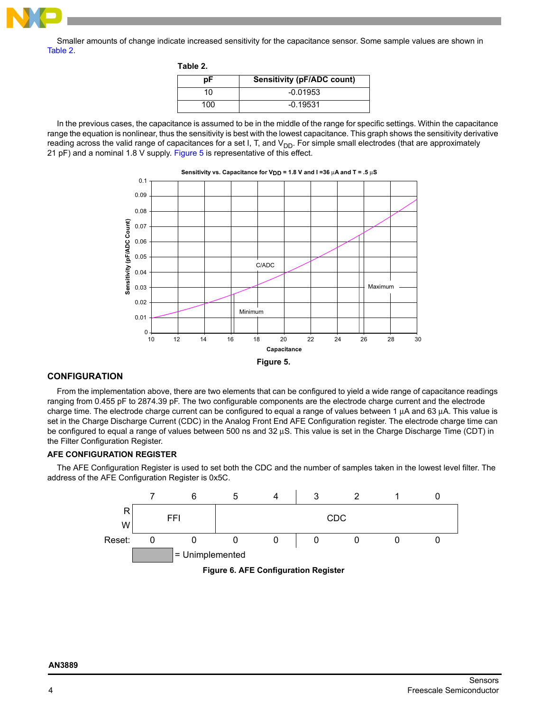

Smaller amounts of change indicate increased sensitivity for the capacitance sensor. Some sample values are shown in Table 2.

| Table 2. |     |                                   |
|----------|-----|-----------------------------------|
|          | рF  | <b>Sensitivity (pF/ADC count)</b> |
|          | 10  | $-0.01953$                        |
|          | 100 | $-0.19531$                        |

In the previous cases, the capacitance is assumed to be in the middle of the range for specific settings. Within the capacitance range the equation is nonlinear, thus the sensitivity is best with the lowest capacitance. This graph shows the sensitivity derivative reading across the valid range of capacitances for a set I, T, and V<sub>DD</sub>. For simple small electrodes (that are approximately 21 pF) and a nominal 1.8 V supply. [Figure](#page-3-0) 5 is representative of this effect.



## **Sensitivity vs. Capacitance for VDD = 1.8 V and I =36** μ**A and T = .5** μ**S**

## <span id="page-3-0"></span>**CONFIGURATION**

From the implementation above, there are two elements that can be configured to yield a wide range of capacitance readings ranging from 0.455 pF to 2874.39 pF. The two configurable components are the electrode charge current and the electrode charge time. The electrode charge current can be configured to equal a range of values between 1 μA and 63 μA. This value is set in the Charge Discharge Current (CDC) in the Analog Front End AFE Configuration register. The electrode charge time can be configured to equal a range of values between 500 ns and 32 μS. This value is set in the Charge Discharge Time (CDT) in the Filter Configuration Register.

## **AFE CONFIGURATION REGISTER**

The AFE Configuration Register is used to set both the CDC and the number of samples taken in the lowest level filter. The address of the AFE Configuration Register is 0x5C.



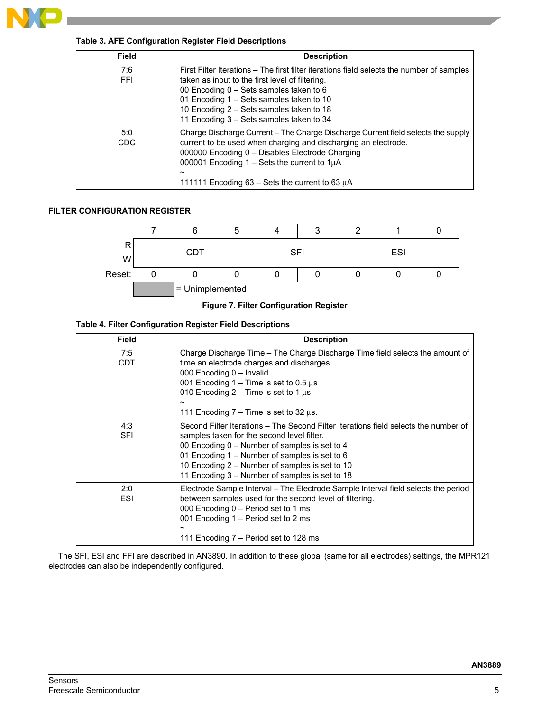

# **Table 3. AFE Configuration Register Field Descriptions**

| <b>Field</b>      | <b>Description</b>                                                                                                                                                                                                                                                                                                              |
|-------------------|---------------------------------------------------------------------------------------------------------------------------------------------------------------------------------------------------------------------------------------------------------------------------------------------------------------------------------|
| 7:6<br><b>FFI</b> | First Filter Iterations – The first filter iterations field selects the number of samples<br>taken as input to the first level of filtering.<br>00 Encoding $0 - Sets$ samples taken to 6<br>01 Encoding 1 - Sets samples taken to 10<br>10 Encoding 2 – Sets samples taken to 18<br>11 Encoding 3 - Sets samples taken to 34   |
| 5:0<br><b>CDC</b> | Charge Discharge Current – The Charge Discharge Current field selects the supply<br>current to be used when charging and discharging an electrode.<br>000000 Encoding 0 - Disables Electrode Charging<br>000001 Encoding $1 - \text{Sets}$ the current to $1\mu\text{A}$<br>~<br>111111 Encoding 63 - Sets the current to 63 µA |

# **FILTER CONFIGURATION REGISTER**



**Figure 7. Filter Configuration Register**

# **Table 4. Filter Configuration Register Field Descriptions**

| Field      | <b>Description</b>                                                                                                                                                                                                                                                                                                                      |
|------------|-----------------------------------------------------------------------------------------------------------------------------------------------------------------------------------------------------------------------------------------------------------------------------------------------------------------------------------------|
| 7:5<br>CDT | Charge Discharge Time - The Charge Discharge Time field selects the amount of<br>time an electrode charges and discharges.<br>000 Encoding 0 - Invalid<br>001 Encoding $1 -$ Time is set to 0.5 $\mu$ s<br>010 Encoding $2 -$ Time is set to 1 $\mu$ s                                                                                  |
|            | 111 Encoding $7 -$ Time is set to 32 $\mu$ s.                                                                                                                                                                                                                                                                                           |
| 4:3<br>SFI | Second Filter Iterations - The Second Filter Iterations field selects the number of<br>samples taken for the second level filter.<br>00 Encoding 0 – Number of samples is set to 4<br>01 Encoding 1 – Number of samples is set to 6<br>10 Encoding 2 – Number of samples is set to 10<br>11 Encoding 3 – Number of samples is set to 18 |
| 2:0<br>ESI | Electrode Sample Interval - The Electrode Sample Interval field selects the period<br>between samples used for the second level of filtering.<br>000 Encoding 0 - Period set to 1 ms<br>001 Encoding 1 - Period set to 2 ms<br>111 Encoding 7 – Period set to 128 ms                                                                    |

The SFI, ESI and FFI are described in AN3890. In addition to these global (same for all electrodes) settings, the MPR121 electrodes can also be independently configured.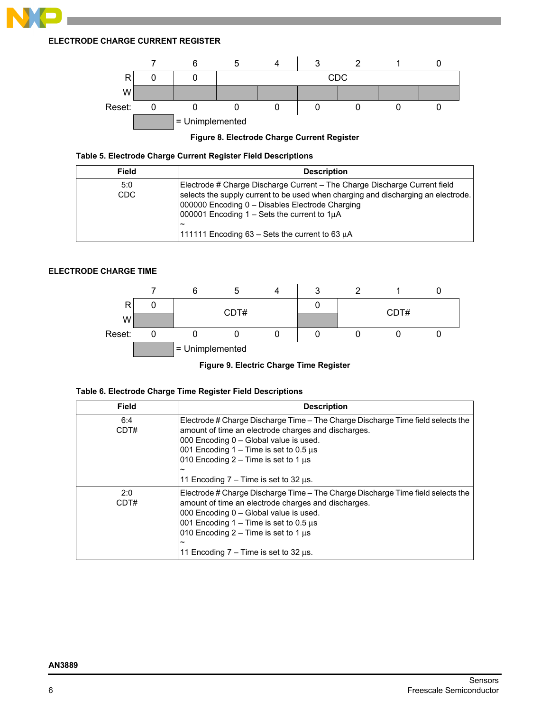

# **ELECTRODE CHARGE CURRENT REGISTER**



**Figure 8. Electrode Charge Current Register**



| <b>Field</b> | <b>Description</b>                                                                                                                                                                                                                                                                                                                                                   |
|--------------|----------------------------------------------------------------------------------------------------------------------------------------------------------------------------------------------------------------------------------------------------------------------------------------------------------------------------------------------------------------------|
| 5:0<br>CDC.  | Electrode # Charge Discharge Current – The Charge Discharge Current field<br>selects the supply current to be used when charging and discharging an electrode.<br>000000 Encoding 0 - Disables Electrode Charging<br>000001 Encoding $1 - \text{Sets}$ the current to $1\mu\text{A}$<br>$\tilde{\phantom{a}}$<br>111111 Encoding 63 – Sets the current to 63 $\mu$ A |

# **ELECTRODE CHARGE TIME**



**Figure 9. Electric Charge Time Register**

# **Table 6. Electrode Charge Time Register Field Descriptions**

| <b>Field</b> | <b>Description</b>                                                                                                                                                                                                                                                                                                                                        |
|--------------|-----------------------------------------------------------------------------------------------------------------------------------------------------------------------------------------------------------------------------------------------------------------------------------------------------------------------------------------------------------|
| 6:4<br>CDT#  | Electrode # Charge Discharge Time – The Charge Discharge Time field selects the<br>amount of time an electrode charges and discharges.<br>000 Encoding 0 - Global value is used.<br>001 Encoding 1 – Time is set to 0.5 $\mu$ s<br>010 Encoding $2 -$ Time is set to 1 $\mu$ s<br>$\tilde{\phantom{a}}$<br>11 Encoding $7 -$ Time is set to 32 $\mu$ s.   |
| 2:0<br>CDT#  | Electrode # Charge Discharge Time – The Charge Discharge Time field selects the<br>amount of time an electrode charges and discharges.<br>000 Encoding 0 - Global value is used.<br>001 Encoding $1 -$ Time is set to 0.5 $\mu$ s<br>010 Encoding $2 -$ Time is set to 1 $\mu$ s<br>$\tilde{\phantom{a}}$<br>11 Encoding $7 -$ Time is set to 32 $\mu$ s. |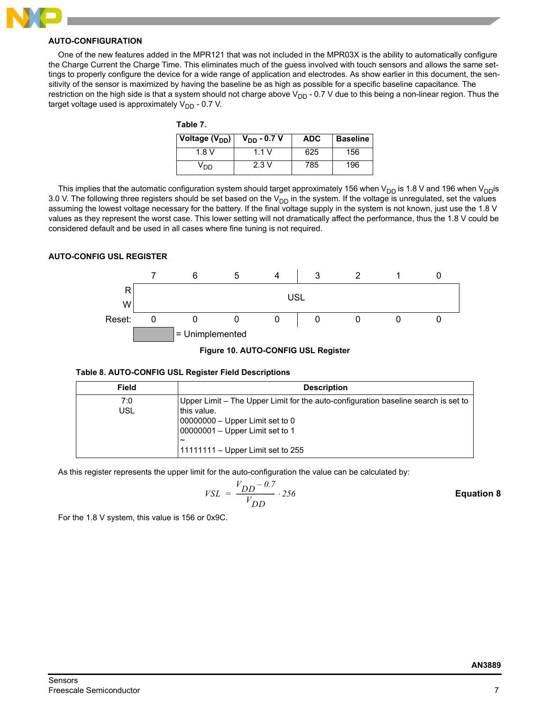

#### **AUTO-CONFIGURATION**

One of the new features added in the MPR121 that was not included in the MPR03X is the ability to automatically configure the Charge Current the Charge Time. This eliminates much of the guess involved with touch sensors and allows the same settings to properly configure the device for a wide range of application and electrodes. As show earlier in this document, the sensitivity of the sensor is maximized by having the baseline be as high as possible for a specific baseline capacitance. The restriction on the high side is that a system should not charge above  $V_{DD}$  - 0.7 V due to this being a non-linear region. Thus the target voltage used is approximately  $V_{DD}$  - 0.7 V.

| Voltage (V <sub>DD</sub> ) | $V_{DD}$ - 0.7 V | <b>ADC</b> | <b>Baseline</b> |
|----------------------------|------------------|------------|-----------------|
| 1.8 V                      | 1.1 V            | 625        | 156             |
| חח י                       | 2.3V             | 785        | 196             |

This implies that the automatic configuration system should target approximately 156 when V<sub>DD</sub> is 1.8 V and 196 when V<sub>DD</sub> is 3.0 V. The following three registers should be set based on the  $V_{DD}$  in the system. If the voltage is unregulated, set the values assuming the lowest voltage necessary for the battery. If the final voltage supply in the system is not known, just use the 1.8 V values as they represent the worst case. This lower setting will not dramatically affect the performance, thus the 1.8 V could be considered default and be used in all cases where fine tuning is not required.

#### **AUTO-CONFIG USL REGISTER**



**Figure 10. AUTO-CONFIG USL Register**

| <b>Field</b> | <b>Description</b>                                                                                                                                                                                                    |
|--------------|-----------------------------------------------------------------------------------------------------------------------------------------------------------------------------------------------------------------------|
| 7:0<br>USL   | Upper Limit – The Upper Limit for the auto-configuration baseline search is set to<br>this value.<br>$00000000 -$ Upper Limit set to 0<br>00000001 - Upper Limit set to 1<br>~<br>$11111111 -$ Upper Limit set to 255 |

As this register represents the upper limit for the auto-configuration the value can be calculated by:

$$
VSL = \frac{V_{DD} - 0.7}{V_{DD}} \cdot 256
$$
 Equation 8

For the 1.8 V system, this value is 156 or 0x9C.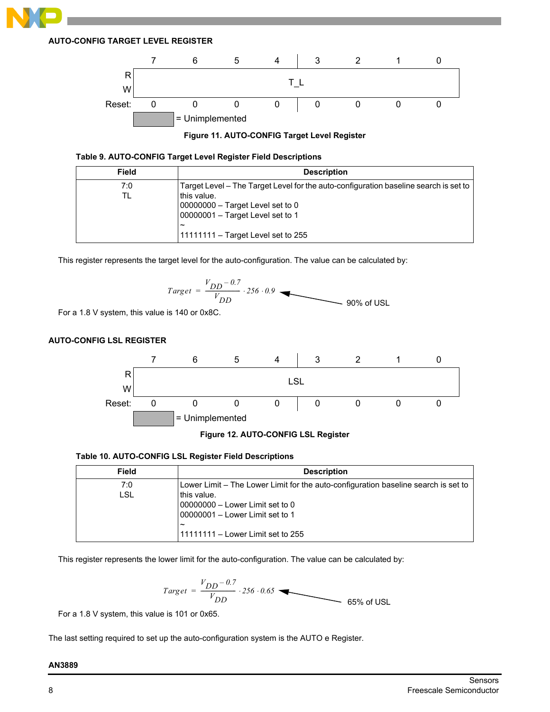







| <b>Field</b> | <b>Description</b>                                                                                  |
|--------------|-----------------------------------------------------------------------------------------------------|
| 7:0<br>TL    | Target Level – The Target Level for the auto-configuration baseline search is set to<br>this value. |
|              | 00000000 - Target Level set to 0<br>00000001 - Target Level set to 1                                |
|              | 11111111 - Target Level set to 255                                                                  |

This register represents the target level for the auto-configuration. The value can be calculated by:

$$
Target = \frac{V_{DD} - 0.7}{V_{DD}} \cdot 256 \cdot 0.9
$$
 90% of USL

For a 1.8 V system, this value is 140 or 0x8C.

## **AUTO-CONFIG LSL REGISTER**



## **Figure 12. AUTO-CONFIG LSL Register**

#### **Table 10. AUTO-CONFIG LSL Register Field Descriptions**

| <b>Field</b>      | <b>Description</b>                                                                                                                                                                                                                        |
|-------------------|-------------------------------------------------------------------------------------------------------------------------------------------------------------------------------------------------------------------------------------------|
| 7:0<br><b>LSL</b> | Lower Limit – The Lower Limit for the auto-configuration baseline search is set to<br>I this value.<br>  00000000 – Lower Limit set to 0<br>00000001 - Lower Limit set to 1<br>$\tilde{\phantom{a}}$<br>11111111 – Lower Limit set to 255 |

This register represents the lower limit for the auto-configuration. The value can be calculated by:

$$
Target = \frac{V_{DD} - 0.7}{V_{DD}} \cdot 256 \cdot 0.65
$$
 65% of USL

For a 1.8 V system, this value is 101 or 0x65.

The last setting required to set up the auto-configuration system is the AUTO e Register.

#### **AN3889**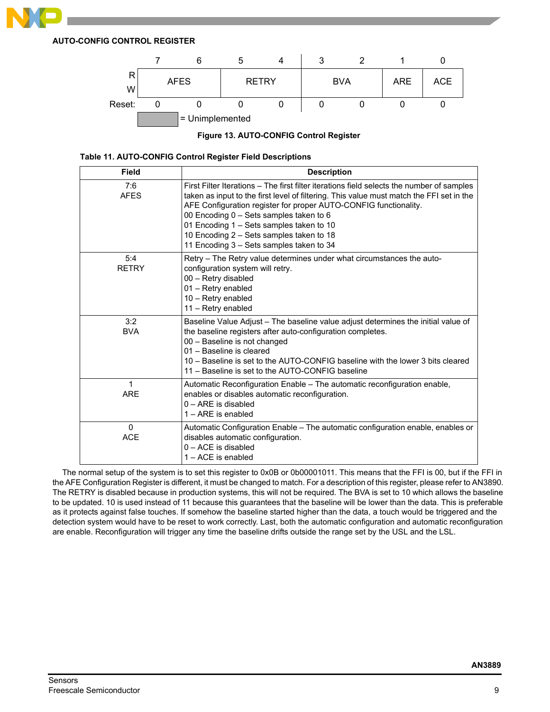**AUTO-CONFIG CONTROL REGISTER**





|  |  |  |  |  | Table 11. AUTO-CONFIG Control Register Field Descriptions |
|--|--|--|--|--|-----------------------------------------------------------|
|--|--|--|--|--|-----------------------------------------------------------|

| <b>Field</b>        | <b>Description</b>                                                                                                                                                                                                                                                                                                                                                                                                                       |
|---------------------|------------------------------------------------------------------------------------------------------------------------------------------------------------------------------------------------------------------------------------------------------------------------------------------------------------------------------------------------------------------------------------------------------------------------------------------|
| 7:6<br><b>AFES</b>  | First Filter Iterations – The first filter iterations field selects the number of samples<br>taken as input to the first level of filtering. This value must match the FFI set in the<br>AFE Configuration register for proper AUTO-CONFIG functionality.<br>00 Encoding 0 - Sets samples taken to 6<br>01 Encoding 1 - Sets samples taken to 10<br>10 Encoding 2 - Sets samples taken to 18<br>11 Encoding 3 – Sets samples taken to 34 |
| 5:4<br><b>RETRY</b> | Retry – The Retry value determines under what circumstances the auto-<br>configuration system will retry.<br>00 - Retry disabled<br>01 - Retry enabled<br>10 - Retry enabled<br>11 - Retry enabled                                                                                                                                                                                                                                       |
| 3:2<br><b>BVA</b>   | Baseline Value Adjust - The baseline value adjust determines the initial value of<br>the baseline registers after auto-configuration completes.<br>00 - Baseline is not changed<br>01 - Baseline is cleared<br>10 – Baseline is set to the AUTO-CONFIG baseline with the lower 3 bits cleared<br>11 - Baseline is set to the AUTO-CONFIG baseline                                                                                        |
| 1<br><b>ARE</b>     | Automatic Reconfiguration Enable - The automatic reconfiguration enable,<br>enables or disables automatic reconfiguration.<br>0 - ARE is disabled<br>1 - ARE is enabled                                                                                                                                                                                                                                                                  |
| 0<br><b>ACE</b>     | Automatic Configuration Enable - The automatic configuration enable, enables or<br>disables automatic configuration.<br>$0 - ACE$ is disabled<br>1 – ACE is enabled                                                                                                                                                                                                                                                                      |

The normal setup of the system is to set this register to 0x0B or 0b00001011. This means that the FFI is 00, but if the FFI in the AFE Configuration Register is different, it must be changed to match. For a description of this register, please refer to AN3890. The RETRY is disabled because in production systems, this will not be required. The BVA is set to 10 which allows the baseline to be updated. 10 is used instead of 11 because this guarantees that the baseline will be lower than the data. This is preferable as it protects against false touches. If somehow the baseline started higher than the data, a touch would be triggered and the detection system would have to be reset to work correctly. Last, both the automatic configuration and automatic reconfiguration are enable. Reconfiguration will trigger any time the baseline drifts outside the range set by the USL and the LSL.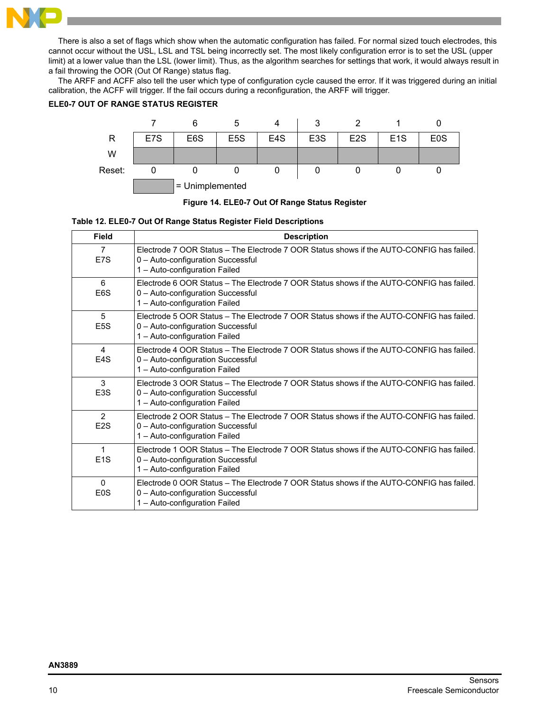

There is also a set of flags which show when the automatic configuration has failed. For normal sized touch electrodes, this cannot occur without the USL, LSL and TSL being incorrectly set. The most likely configuration error is to set the USL (upper limit) at a lower value than the LSL (lower limit). Thus, as the algorithm searches for settings that work, it would always result in a fail throwing the OOR (Out Of Range) status flag.

The ARFF and ACFF also tell the user which type of configuration cycle caused the error. If it was triggered during an initial calibration, the ACFF will trigger. If the fail occurs during a reconfiguration, the ARFF will trigger.

# **ELE0-7 OUT OF RANGE STATUS REGISTER**



**Figure 14. ELE0-7 Out Of Range Status Register**

## **Table 12. ELE0-7 Out Of Range Status Register Field Descriptions**

| <b>Field</b>                       | <b>Description</b>                                                                                                                                             |
|------------------------------------|----------------------------------------------------------------------------------------------------------------------------------------------------------------|
| $\overline{7}$<br>E7S              | Electrode 7 OOR Status – The Electrode 7 OOR Status shows if the AUTO-CONFIG has failed.<br>0 - Auto-configuration Successful<br>1 - Auto-configuration Failed |
| 6<br>E <sub>6</sub> S              | Electrode 6 OOR Status – The Electrode 7 OOR Status shows if the AUTO-CONFIG has failed.<br>0 - Auto-configuration Successful<br>1 - Auto-configuration Failed |
| 5<br>E <sub>5</sub> S              | Electrode 5 OOR Status – The Electrode 7 OOR Status shows if the AUTO-CONFIG has failed.<br>0 - Auto-configuration Successful<br>1 - Auto-configuration Failed |
| $\overline{4}$<br>E <sub>4</sub> S | Electrode 4 OOR Status – The Electrode 7 OOR Status shows if the AUTO-CONFIG has failed.<br>0 - Auto-configuration Successful<br>1 - Auto-configuration Failed |
| 3<br>E <sub>3</sub> S              | Electrode 3 OOR Status – The Electrode 7 OOR Status shows if the AUTO-CONFIG has failed.<br>0 - Auto-configuration Successful<br>1 - Auto-configuration Failed |
| $\overline{2}$<br>E <sub>2</sub> S | Electrode 2 OOR Status – The Electrode 7 OOR Status shows if the AUTO-CONFIG has failed.<br>0 - Auto-configuration Successful<br>1 - Auto-configuration Failed |
| 1<br>E <sub>1</sub> S              | Electrode 1 OOR Status - The Electrode 7 OOR Status shows if the AUTO-CONFIG has failed.<br>0 - Auto-configuration Successful<br>1 - Auto-configuration Failed |
| $\Omega$<br>E <sub>0</sub> S       | Electrode 0 OOR Status – The Electrode 7 OOR Status shows if the AUTO-CONFIG has failed.<br>0 - Auto-configuration Successful<br>1 - Auto-configuration Failed |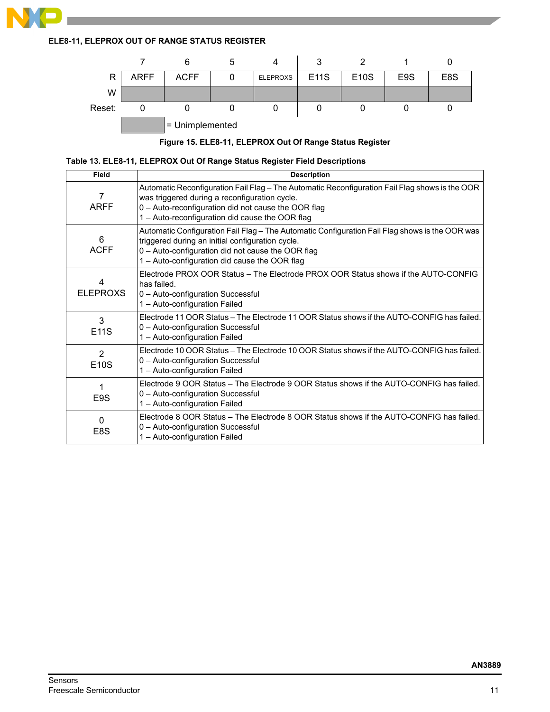

**Figure 15. ELE8-11, ELEPROX Out Of Range Status Register**

| Field                         | <b>Description</b>                                                                                                                                                                                                                                        |  |  |
|-------------------------------|-----------------------------------------------------------------------------------------------------------------------------------------------------------------------------------------------------------------------------------------------------------|--|--|
| 7<br><b>ARFF</b>              | Automatic Reconfiguration Fail Flag – The Automatic Reconfiguration Fail Flag shows is the OOR<br>was triggered during a reconfiguration cycle.<br>0 - Auto-reconfiguration did not cause the OOR flag<br>1 - Auto-reconfiguration did cause the OOR flag |  |  |
| 6<br><b>ACFF</b>              | Automatic Configuration Fail Flag - The Automatic Configuration Fail Flag shows is the OOR was<br>triggered during an initial configuration cycle.<br>0 - Auto-configuration did not cause the OOR flag<br>1 – Auto-configuration did cause the OOR flag  |  |  |
| 4<br><b>ELEPROXS</b>          | Electrode PROX OOR Status – The Electrode PROX OOR Status shows if the AUTO-CONFIG<br>has failed.<br>0 - Auto-configuration Successful<br>1 - Auto-configuration Failed                                                                                   |  |  |
| 3<br>E11S                     | Electrode 11 OOR Status – The Electrode 11 OOR Status shows if the AUTO-CONFIG has failed.<br>0 - Auto-configuration Successful<br>1 - Auto-configuration Failed                                                                                          |  |  |
| $\overline{2}$<br><b>E10S</b> | Electrode 10 OOR Status – The Electrode 10 OOR Status shows if the AUTO-CONFIG has failed.<br>0 - Auto-configuration Successful<br>1 - Auto-configuration Failed                                                                                          |  |  |
| E <sub>9</sub> S              | Electrode 9 OOR Status – The Electrode 9 OOR Status shows if the AUTO-CONFIG has failed.<br>0 - Auto-configuration Successful<br>1 - Auto-configuration Failed                                                                                            |  |  |
| $\Omega$<br>E8S               | Electrode 8 OOR Status – The Electrode 8 OOR Status shows if the AUTO-CONFIG has failed.<br>0 - Auto-configuration Successful<br>1 - Auto-configuration Failed                                                                                            |  |  |